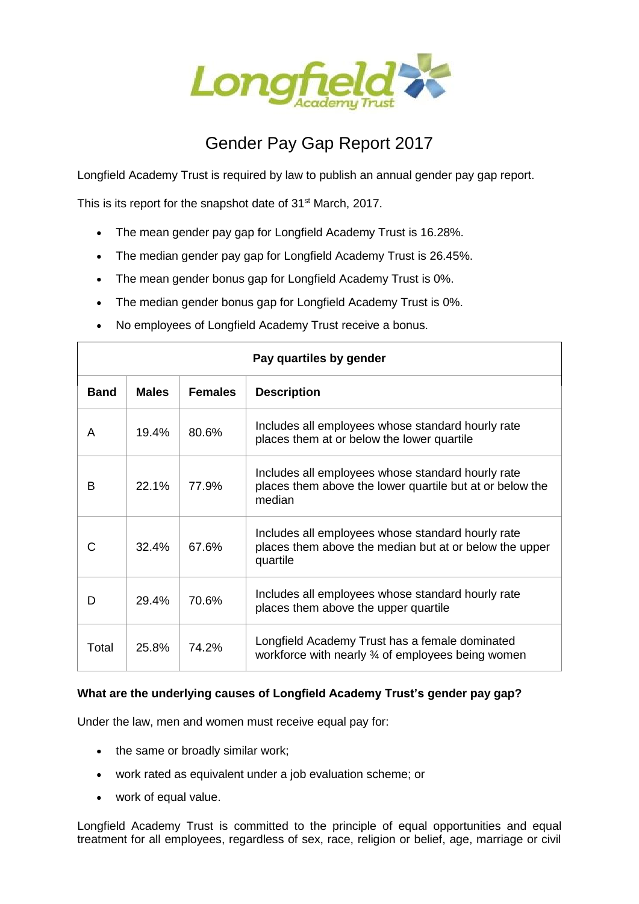

## Gender Pay Gap Report 2017

Longfield Academy Trust is required by law to publish an annual gender pay gap report.

This is its report for the snapshot date of 31<sup>st</sup> March, 2017.

- The mean gender pay gap for Longfield Academy Trust is 16.28%.
- The median gender pay gap for Longfield Academy Trust is 26.45%.
- The mean gender bonus gap for Longfield Academy Trust is 0%.
- The median gender bonus gap for Longfield Academy Trust is 0%.
- No employees of Longfield Academy Trust receive a bonus.

| Pay quartiles by gender |              |                |                                                                                                                         |  |  |  |
|-------------------------|--------------|----------------|-------------------------------------------------------------------------------------------------------------------------|--|--|--|
| <b>Band</b>             | <b>Males</b> | <b>Females</b> | <b>Description</b>                                                                                                      |  |  |  |
| A                       | 19.4%        | 80.6%          | Includes all employees whose standard hourly rate<br>places them at or below the lower quartile                         |  |  |  |
| в                       | 22.1%        | 77.9%          | Includes all employees whose standard hourly rate<br>places them above the lower quartile but at or below the<br>median |  |  |  |
| С                       | 32.4%        | 67.6%          | Includes all employees whose standard hourly rate<br>places them above the median but at or below the upper<br>quartile |  |  |  |
| D                       | 29.4%        | 70.6%          | Includes all employees whose standard hourly rate<br>places them above the upper quartile                               |  |  |  |
| Total                   | 25.8%        | 74.2%          | Longfield Academy Trust has a female dominated<br>workforce with nearly 3⁄4 of employees being women                    |  |  |  |

## **What are the underlying causes of Longfield Academy Trust's gender pay gap?**

Under the law, men and women must receive equal pay for:

- the same or broadly similar work;
- work rated as equivalent under a job evaluation scheme; or
- work of equal value.

Longfield Academy Trust is committed to the principle of equal opportunities and equal treatment for all employees, regardless of sex, race, religion or belief, age, marriage or civil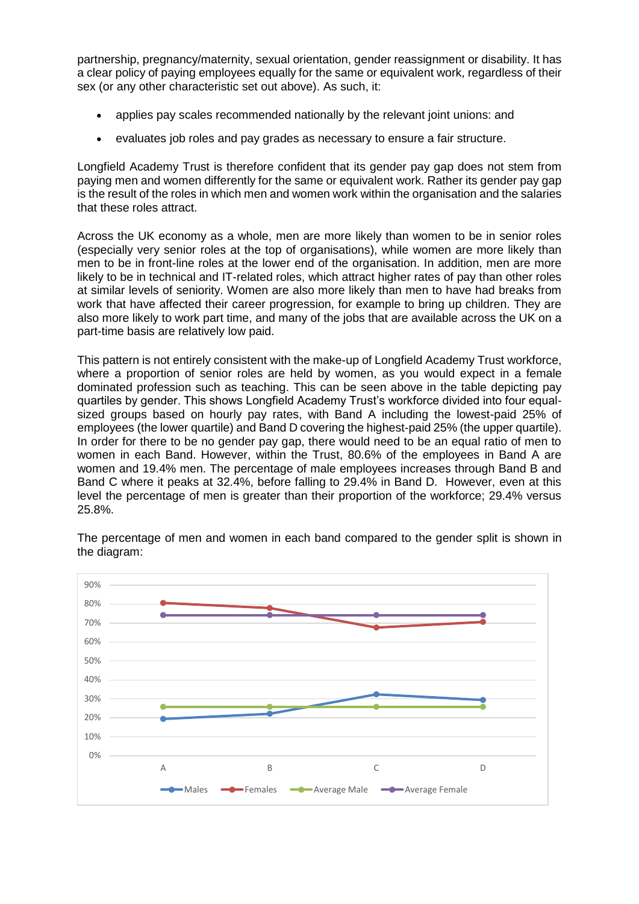partnership, pregnancy/maternity, sexual orientation, gender reassignment or disability. It has a clear policy of paying employees equally for the same or equivalent work, regardless of their sex (or any other characteristic set out above). As such, it:

- applies pay scales recommended nationally by the relevant joint unions: and
- evaluates job roles and pay grades as necessary to ensure a fair structure.

Longfield Academy Trust is therefore confident that its gender pay gap does not stem from paying men and women differently for the same or equivalent work. Rather its gender pay gap is the result of the roles in which men and women work within the organisation and the salaries that these roles attract.

Across the UK economy as a whole, men are more likely than women to be in senior roles (especially very senior roles at the top of organisations), while women are more likely than men to be in front-line roles at the lower end of the organisation. In addition, men are more likely to be in technical and IT-related roles, which attract higher rates of pay than other roles at similar levels of seniority. Women are also more likely than men to have had breaks from work that have affected their career progression, for example to bring up children. They are also more likely to work part time, and many of the jobs that are available across the UK on a part-time basis are relatively low paid.

This pattern is not entirely consistent with the make-up of Longfield Academy Trust workforce, where a proportion of senior roles are held by women, as you would expect in a female dominated profession such as teaching. This can be seen above in the table depicting pay quartiles by gender. This shows Longfield Academy Trust's workforce divided into four equalsized groups based on hourly pay rates, with Band A including the lowest-paid 25% of employees (the lower quartile) and Band D covering the highest-paid 25% (the upper quartile). In order for there to be no gender pay gap, there would need to be an equal ratio of men to women in each Band. However, within the Trust, 80.6% of the employees in Band A are women and 19.4% men. The percentage of male employees increases through Band B and Band C where it peaks at 32.4%, before falling to 29.4% in Band D. However, even at this level the percentage of men is greater than their proportion of the workforce; 29.4% versus 25.8%.



The percentage of men and women in each band compared to the gender split is shown in the diagram: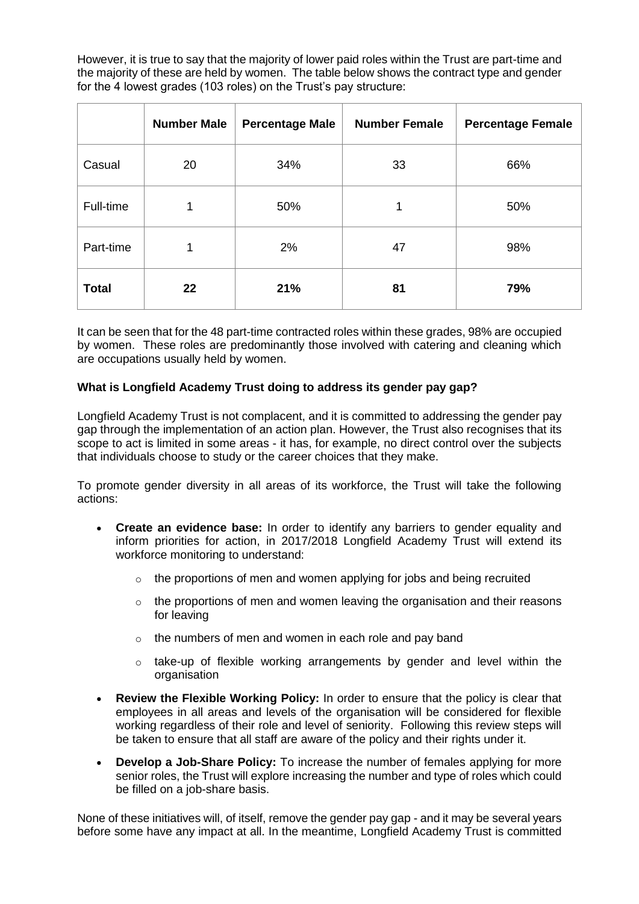However, it is true to say that the majority of lower paid roles within the Trust are part-time and the majority of these are held by women. The table below shows the contract type and gender for the 4 lowest grades (103 roles) on the Trust's pay structure:

|              | <b>Number Male</b> | <b>Percentage Male</b> | <b>Number Female</b> | <b>Percentage Female</b> |
|--------------|--------------------|------------------------|----------------------|--------------------------|
| Casual       | 20                 | 34%                    | 33                   | 66%                      |
| Full-time    | 1                  | 50%                    | 1                    | 50%                      |
| Part-time    | 1                  | 2%                     | 47                   | 98%                      |
| <b>Total</b> | 22                 | 21%                    | 81                   | 79%                      |

It can be seen that for the 48 part-time contracted roles within these grades, 98% are occupied by women. These roles are predominantly those involved with catering and cleaning which are occupations usually held by women.

## **What is Longfield Academy Trust doing to address its gender pay gap?**

Longfield Academy Trust is not complacent, and it is committed to addressing the gender pay gap through the implementation of an action plan. However, the Trust also recognises that its scope to act is limited in some areas - it has, for example, no direct control over the subjects that individuals choose to study or the career choices that they make.

To promote gender diversity in all areas of its workforce, the Trust will take the following actions:

- **Create an evidence base:** In order to identify any barriers to gender equality and inform priorities for action, in 2017/2018 Longfield Academy Trust will extend its workforce monitoring to understand:
	- $\circ$  the proportions of men and women applying for jobs and being recruited
	- $\circ$  the proportions of men and women leaving the organisation and their reasons for leaving
	- $\circ$  the numbers of men and women in each role and pay band
	- $\circ$  take-up of flexible working arrangements by gender and level within the organisation
- **Review the Flexible Working Policy:** In order to ensure that the policy is clear that employees in all areas and levels of the organisation will be considered for flexible working regardless of their role and level of seniority. Following this review steps will be taken to ensure that all staff are aware of the policy and their rights under it.
- **Develop a Job-Share Policy:** To increase the number of females applying for more senior roles, the Trust will explore increasing the number and type of roles which could be filled on a job-share basis.

None of these initiatives will, of itself, remove the gender pay gap - and it may be several years before some have any impact at all. In the meantime, Longfield Academy Trust is committed